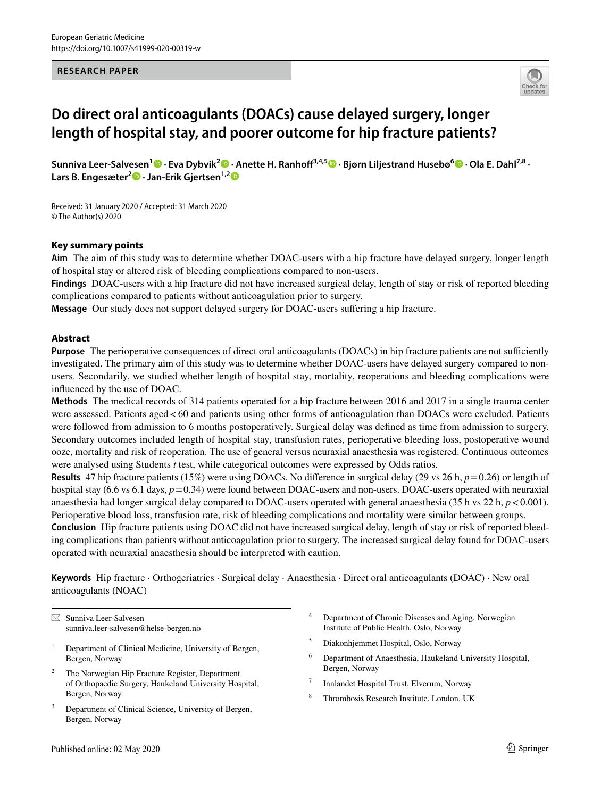#### **RESEARCH PAPER**



# **Do direct oral anticoagulants (DOACs) cause delayed surgery, longer length of hospital stay, and poorer outcome for hip fracture patients?**

**Sunniva Leer‑Salvesen[1](http://orcid.org/0000-0002-2000-7096) · Eva Dybvik<sup>2</sup> · Anette H. Ranhof3,4,5  [·](http://orcid.org/0000-0001-8690-4753) Bjørn Liljestrand Husebø6 · Ola E. Dahl7,8 · Lars B. Engesæter[2](http://orcid.org/0000-0003-3126-3164) · Jan‑Erik Gjertsen1,[2](http://orcid.org/0000-0002-8490-268X)**

Received: 31 January 2020 / Accepted: 31 March 2020 © The Author(s) 2020

## **Key summary points**

**Aim** The aim of this study was to determine whether DOAC-users with a hip fracture have delayed surgery, longer length of hospital stay or altered risk of bleeding complications compared to non-users.

**Findings** DOAC-users with a hip fracture did not have increased surgical delay, length of stay or risk of reported bleeding complications compared to patients without anticoagulation prior to surgery.

**Message** Our study does not support delayed surgery for DOAC-users sufering a hip fracture.

#### **Abstract**

**Purpose** The perioperative consequences of direct oral anticoagulants (DOACs) in hip fracture patients are not sufficiently investigated. The primary aim of this study was to determine whether DOAC-users have delayed surgery compared to nonusers. Secondarily, we studied whether length of hospital stay, mortality, reoperations and bleeding complications were infuenced by the use of DOAC.

**Methods** The medical records of 314 patients operated for a hip fracture between 2016 and 2017 in a single trauma center were assessed. Patients aged <60 and patients using other forms of anticoagulation than DOACs were excluded. Patients were followed from admission to 6 months postoperatively. Surgical delay was defned as time from admission to surgery. Secondary outcomes included length of hospital stay, transfusion rates, perioperative bleeding loss, postoperative wound ooze, mortality and risk of reoperation. The use of general versus neuraxial anaesthesia was registered. Continuous outcomes were analysed using Students *t* test, while categorical outcomes were expressed by Odds ratios.

**Results** 47 hip fracture patients (15%) were using DOACs. No diference in surgical delay (29 vs 26 h, *p*=0.26) or length of hospital stay (6.6 vs 6.1 days,  $p=0.34$ ) were found between DOAC-users and non-users. DOAC-users operated with neuraxial anaesthesia had longer surgical delay compared to DOAC-users operated with general anaesthesia (35 h vs  $22$  h,  $p < 0.001$ ). Perioperative blood loss, transfusion rate, risk of bleeding complications and mortality were similar between groups.

**Conclusion** Hip fracture patients using DOAC did not have increased surgical delay, length of stay or risk of reported bleeding complications than patients without anticoagulation prior to surgery. The increased surgical delay found for DOAC-users operated with neuraxial anaesthesia should be interpreted with caution.

**Keywords** Hip fracture · Orthogeriatrics · Surgical delay · Anaesthesia · Direct oral anticoagulants (DOAC) · New oral anticoagulants (NOAC)

 $\boxtimes$  Sunniva Leer-Salvesen sunniva.leer-salvesen@helse-bergen.no

- <sup>1</sup> Department of Clinical Medicine, University of Bergen, Bergen, Norway
- <sup>2</sup> The Norwegian Hip Fracture Register, Department of Orthopaedic Surgery, Haukeland University Hospital, Bergen, Norway
- Department of Clinical Science, University of Bergen, Bergen, Norway
- Department of Chronic Diseases and Aging, Norwegian Institute of Public Health, Oslo, Norway
- <sup>5</sup> Diakonhjemmet Hospital, Oslo, Norway
- <sup>6</sup> Department of Anaesthesia, Haukeland University Hospital, Bergen, Norway
- <sup>7</sup> Innlandet Hospital Trust, Elverum, Norway
- <sup>8</sup> Thrombosis Research Institute, London, UK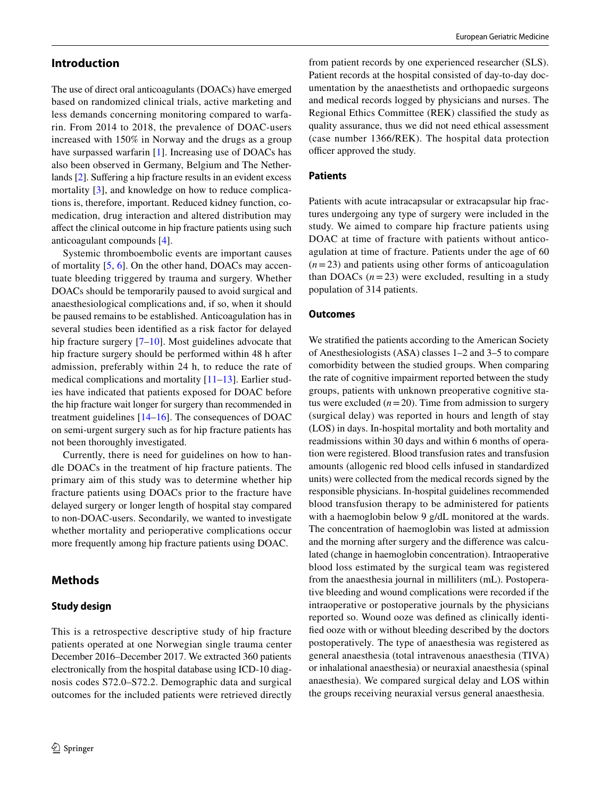## **Introduction**

The use of direct oral anticoagulants (DOACs) have emerged based on randomized clinical trials, active marketing and less demands concerning monitoring compared to warfarin. From 2014 to 2018, the prevalence of DOAC-users increased with 150% in Norway and the drugs as a group have surpassed warfarin [[1\]](#page-5-0). Increasing use of DOACs has also been observed in Germany, Belgium and The Nether-lands [\[2](#page-5-1)]. Suffering a hip fracture results in an evident excess mortality [\[3](#page-5-2)], and knowledge on how to reduce complications is, therefore, important. Reduced kidney function, comedication, drug interaction and altered distribution may afect the clinical outcome in hip fracture patients using such anticoagulant compounds [\[4](#page-5-3)].

Systemic thromboembolic events are important causes of mortality [[5,](#page-5-4) [6](#page-5-5)]. On the other hand, DOACs may accentuate bleeding triggered by trauma and surgery. Whether DOACs should be temporarily paused to avoid surgical and anaesthesiological complications and, if so, when it should be paused remains to be established. Anticoagulation has in several studies been identifed as a risk factor for delayed hip fracture surgery [[7–](#page-5-6)[10](#page-5-7)]. Most guidelines advocate that hip fracture surgery should be performed within 48 h after admission, preferably within 24 h, to reduce the rate of medical complications and mortality [\[11](#page-5-8)[–13\]](#page-5-9). Earlier studies have indicated that patients exposed for DOAC before the hip fracture wait longer for surgery than recommended in treatment guidelines [[14–](#page-5-10)[16\]](#page-6-0). The consequences of DOAC on semi-urgent surgery such as for hip fracture patients has not been thoroughly investigated.

Currently, there is need for guidelines on how to handle DOACs in the treatment of hip fracture patients. The primary aim of this study was to determine whether hip fracture patients using DOACs prior to the fracture have delayed surgery or longer length of hospital stay compared to non-DOAC-users. Secondarily, we wanted to investigate whether mortality and perioperative complications occur more frequently among hip fracture patients using DOAC.

## **Methods**

## **Study design**

This is a retrospective descriptive study of hip fracture patients operated at one Norwegian single trauma center December 2016–December 2017. We extracted 360 patients electronically from the hospital database using ICD-10 diagnosis codes S72.0–S72.2. Demographic data and surgical outcomes for the included patients were retrieved directly

from patient records by one experienced researcher (SLS). Patient records at the hospital consisted of day-to-day documentation by the anaesthetists and orthopaedic surgeons and medical records logged by physicians and nurses. The Regional Ethics Committee (REK) classifed the study as quality assurance, thus we did not need ethical assessment (case number 1366/REK). The hospital data protection officer approved the study.

## **Patients**

Patients with acute intracapsular or extracapsular hip fractures undergoing any type of surgery were included in the study. We aimed to compare hip fracture patients using DOAC at time of fracture with patients without anticoagulation at time of fracture. Patients under the age of 60 (*n*=23) and patients using other forms of anticoagulation than DOACs  $(n=23)$  were excluded, resulting in a study population of 314 patients.

## **Outcomes**

We stratifed the patients according to the American Society of Anesthesiologists (ASA) classes 1–2 and 3–5 to compare comorbidity between the studied groups. When comparing the rate of cognitive impairment reported between the study groups, patients with unknown preoperative cognitive status were excluded  $(n=20)$ . Time from admission to surgery (surgical delay) was reported in hours and length of stay (LOS) in days. In-hospital mortality and both mortality and readmissions within 30 days and within 6 months of operation were registered. Blood transfusion rates and transfusion amounts (allogenic red blood cells infused in standardized units) were collected from the medical records signed by the responsible physicians. In-hospital guidelines recommended blood transfusion therapy to be administered for patients with a haemoglobin below 9 g/dL monitored at the wards. The concentration of haemoglobin was listed at admission and the morning after surgery and the diference was calculated (change in haemoglobin concentration). Intraoperative blood loss estimated by the surgical team was registered from the anaesthesia journal in milliliters (mL). Postoperative bleeding and wound complications were recorded if the intraoperative or postoperative journals by the physicians reported so. Wound ooze was defned as clinically identifed ooze with or without bleeding described by the doctors postoperatively*.* The type of anaesthesia was registered as general anaesthesia (total intravenous anaesthesia (TIVA) or inhalational anaesthesia) or neuraxial anaesthesia (spinal anaesthesia). We compared surgical delay and LOS within the groups receiving neuraxial versus general anaesthesia.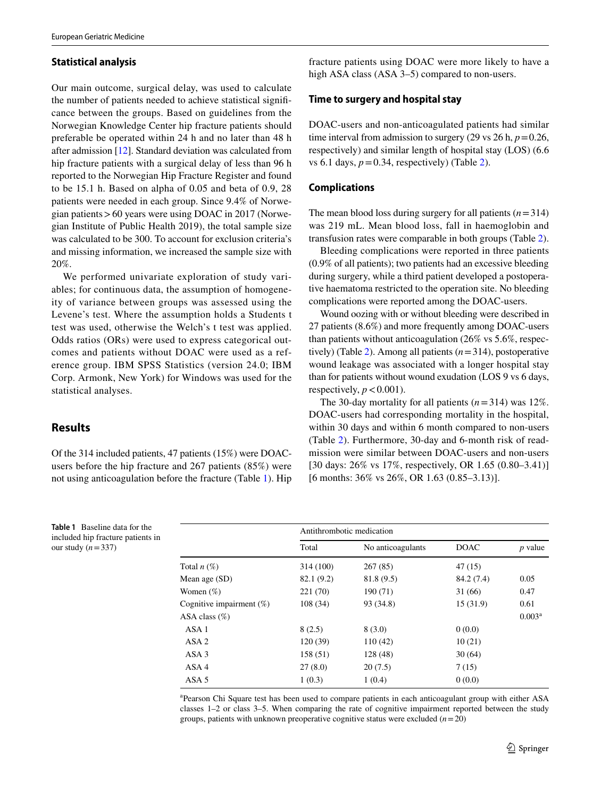## **Statistical analysis**

Our main outcome, surgical delay, was used to calculate the number of patients needed to achieve statistical signifcance between the groups. Based on guidelines from the Norwegian Knowledge Center hip fracture patients should preferable be operated within 24 h and no later than 48 h after admission [[12\]](#page-5-11). Standard deviation was calculated from hip fracture patients with a surgical delay of less than 96 h reported to the Norwegian Hip Fracture Register and found to be 15.1 h. Based on alpha of 0.05 and beta of 0.9, 28 patients were needed in each group. Since 9.4% of Norwegian patients>60 years were using DOAC in 2017 (Norwegian Institute of Public Health 2019), the total sample size was calculated to be 300. To account for exclusion criteria's and missing information, we increased the sample size with 20%.

We performed univariate exploration of study variables; for continuous data, the assumption of homogeneity of variance between groups was assessed using the Levene's test. Where the assumption holds a Students t test was used, otherwise the Welch's t test was applied. Odds ratios (ORs) were used to express categorical outcomes and patients without DOAC were used as a reference group. IBM SPSS Statistics (version 24.0; IBM Corp. Armonk, New York) for Windows was used for the statistical analyses.

# **Results**

Of the 314 included patients, 47 patients (15%) were DOACusers before the hip fracture and 267 patients (85%) were not using anticoagulation before the fracture (Table [1\)](#page-2-0). Hip

fracture patients using DOAC were more likely to have a high ASA class (ASA 3–5) compared to non-users.

## **Time to surgery and hospital stay**

DOAC-users and non-anticoagulated patients had similar time interval from admission to surgery (29 vs 26 h,  $p=0.26$ , respectively) and similar length of hospital stay (LOS) (6.6 vs 6.1 days,  $p = 0.34$ , respectively) (Table [2\)](#page-3-0).

#### **Complications**

The mean blood loss during surgery for all patients  $(n=314)$ was 219 mL. Mean blood loss, fall in haemoglobin and transfusion rates were comparable in both groups (Table [2](#page-3-0)).

Bleeding complications were reported in three patients (0.9% of all patients); two patients had an excessive bleeding during surgery, while a third patient developed a postoperative haematoma restricted to the operation site. No bleeding complications were reported among the DOAC-users.

Wound oozing with or without bleeding were described in 27 patients (8.6%) and more frequently among DOAC-users than patients without anticoagulation (26% vs 5.6%, respectively) (Table [2](#page-3-0)). Among all patients (*n*=314), postoperative wound leakage was associated with a longer hospital stay than for patients without wound exudation (LOS 9 vs 6 days, respectively,  $p < 0.001$ ).

The 30-day mortality for all patients  $(n=314)$  was 12%. DOAC-users had corresponding mortality in the hospital, within 30 days and within 6 month compared to non-users (Table [2\)](#page-3-0). Furthermore, 30-day and 6-month risk of readmission were similar between DOAC-users and non-users [30 days: 26% vs 17%, respectively, OR 1.65 (0.80–3.41)] [6 months: 36% vs 26%, OR 1.63 (0.85–3.13)].

|                             | Antithrombotic medication |                   |             |           |  |
|-----------------------------|---------------------------|-------------------|-------------|-----------|--|
|                             | Total                     | No anticoagulants | <b>DOAC</b> | $p$ value |  |
| Total $n(\%)$               | 314 (100)                 | 267(85)           | 47(15)      |           |  |
| Mean age $(SD)$             | 82.1 (9.2)                | 81.8 (9.5)        | 84.2 (7.4)  | 0.05      |  |
| Women $(\%)$                | 221 (70)                  | 190 (71)          | 31 (66)     | 0.47      |  |
| Cognitive impairment $(\%)$ | 108(34)                   | 93 (34.8)         | 15(31.9)    | 0.61      |  |
| ASA class $(\%)$            |                           |                   |             | $0.003^a$ |  |
| ASA <sub>1</sub>            | 8(2.5)                    | 8(3.0)            | 0(0.0)      |           |  |
| ASA <sub>2</sub>            | 120(39)                   | 110(42)           | 10(21)      |           |  |
| ASA <sub>3</sub>            | 158 (51)                  | 128 (48)          | 30(64)      |           |  |
| ASA 4                       | 27(8.0)                   | 20(7.5)           | 7(15)       |           |  |
| ASA <sub>5</sub>            | 1(0.3)                    | 1(0.4)            | 0(0.0)      |           |  |

a Pearson Chi Square test has been used to compare patients in each anticoagulant group with either ASA classes 1–2 or class 3–5. When comparing the rate of cognitive impairment reported between the study groups, patients with unknown preoperative cognitive status were excluded  $(n=20)$ 

<span id="page-2-0"></span>**Table 1** Baseline data for the included hip fracture patients in our study (*n*=337)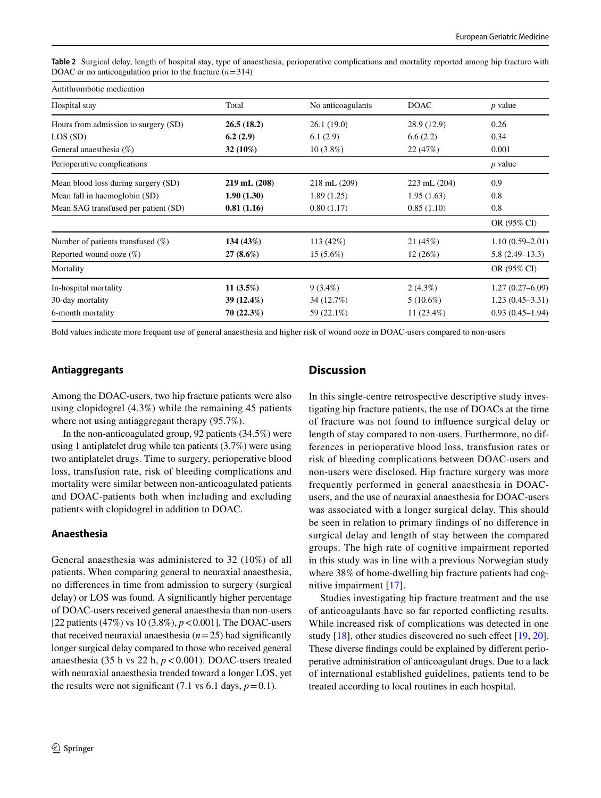<span id="page-3-0"></span>**Table 2** Surgical delay, length of hospital stay, type of anaesthesia, perioperative complications and mortality reported among hip fracture with DOAC or no anticoagulation prior to the fracture  $(n=314)$ 

| Antithrombotic medication            |                  |                   |                  |                     |  |  |
|--------------------------------------|------------------|-------------------|------------------|---------------------|--|--|
| Hospital stay                        | Total            | No anticoagulants | <b>DOAC</b>      | $p$ value           |  |  |
| Hours from admission to surgery (SD) | 26.5(18.2)       | 26.1(19.0)        | 28.9 (12.9)      | 0.26                |  |  |
| LOS(SD)                              | 6.2(2.9)         | 6.1(2.9)          | 6.6(2.2)         | 0.34                |  |  |
| General anaesthesia $(\%)$           | 32 (10%)         | $10(3.8\%)$       | 22 (47%)         | 0.001               |  |  |
| Perioperative complications          |                  |                   |                  | $p$ value           |  |  |
| Mean blood loss during surgery (SD)  | $219$ mL $(208)$ | 218 mL (209)      | $223$ mL $(204)$ | 0.9                 |  |  |
| Mean fall in haemoglobin (SD)        | 1.90(1.30)       | 1.89(1.25)        | 1.95(1.63)       | 0.8                 |  |  |
| Mean SAG transfused per patient (SD) | 0.81(1.16)       | 0.80(1.17)        | 0.85(1.10)       | 0.8                 |  |  |
|                                      |                  |                   |                  | OR (95% CI)         |  |  |
| Number of patients transfused $(\%)$ | 134(43%)         | 113(42%)          | 21 (45%)         | $1.10(0.59 - 2.01)$ |  |  |
| Reported wound ooze $(\%)$           | $27(8.6\%)$      | $15(5.6\%)$       | 12(26%)          | $5.8(2.49-13.3)$    |  |  |
| Mortality                            |                  |                   |                  | OR (95% CI)         |  |  |
| In-hospital mortality                | 11 $(3.5%)$      | $9(3.4\%)$        | $2(4.3\%)$       | $1.27(0.27 - 6.09)$ |  |  |
| 30-day mortality                     | 39 (12.4%)       | 34 (12.7%)        | $5(10.6\%)$      | $1.23(0.45-3.31)$   |  |  |
| 6-month mortality                    | 70(22.3%)        | 59 (22.1%)        | 11 $(23.4\%)$    | $0.93(0.45 - 1.94)$ |  |  |

Bold values indicate more frequent use of general anaesthesia and higher risk of wound ooze in DOAC-users compared to non-users

## **Antiaggregants**

Among the DOAC-users, two hip fracture patients were also using clopidogrel (4.3%) while the remaining 45 patients where not using antiaggregant therapy (95.7%).

In the non-anticoagulated group, 92 patients (34.5%) were using 1 antiplatelet drug while ten patients (3.7%) were using two antiplatelet drugs. Time to surgery, perioperative blood loss, transfusion rate, risk of bleeding complications and mortality were similar between non-anticoagulated patients and DOAC-patients both when including and excluding patients with clopidogrel in addition to DOAC.

## **Anaesthesia**

General anaesthesia was administered to 32 (10%) of all patients. When comparing general to neuraxial anaesthesia, no diferences in time from admission to surgery (surgical delay) or LOS was found. A signifcantly higher percentage of DOAC-users received general anaesthesia than non-users [22 patients (47%) vs 10 (3.8%), *p*<0.001]. The DOAC-users that received neuraxial anaesthesia  $(n=25)$  had significantly longer surgical delay compared to those who received general anaesthesia (35 h vs 22 h, *p*<0.001). DOAC-users treated with neuraxial anaesthesia trended toward a longer LOS, yet the results were not significant (7.1 vs 6.1 days,  $p = 0.1$ ).

# **Discussion**

In this single-centre retrospective descriptive study investigating hip fracture patients, the use of DOACs at the time of fracture was not found to infuence surgical delay or length of stay compared to non-users. Furthermore, no differences in perioperative blood loss, transfusion rates or risk of bleeding complications between DOAC-users and non-users were disclosed. Hip fracture surgery was more frequently performed in general anaesthesia in DOACusers, and the use of neuraxial anaesthesia for DOAC-users was associated with a longer surgical delay. This should be seen in relation to primary fndings of no diference in surgical delay and length of stay between the compared groups. The high rate of cognitive impairment reported in this study was in line with a previous Norwegian study where 38% of home-dwelling hip fracture patients had cognitive impairment [[17](#page-6-1)].

Studies investigating hip fracture treatment and the use of anticoagulants have so far reported conficting results. While increased risk of complications was detected in one study [[18\]](#page-6-2), other studies discovered no such effect [\[19](#page-6-3), [20](#page-6-4)]. These diverse fndings could be explained by diferent perioperative administration of anticoagulant drugs. Due to a lack of international established guidelines, patients tend to be treated according to local routines in each hospital.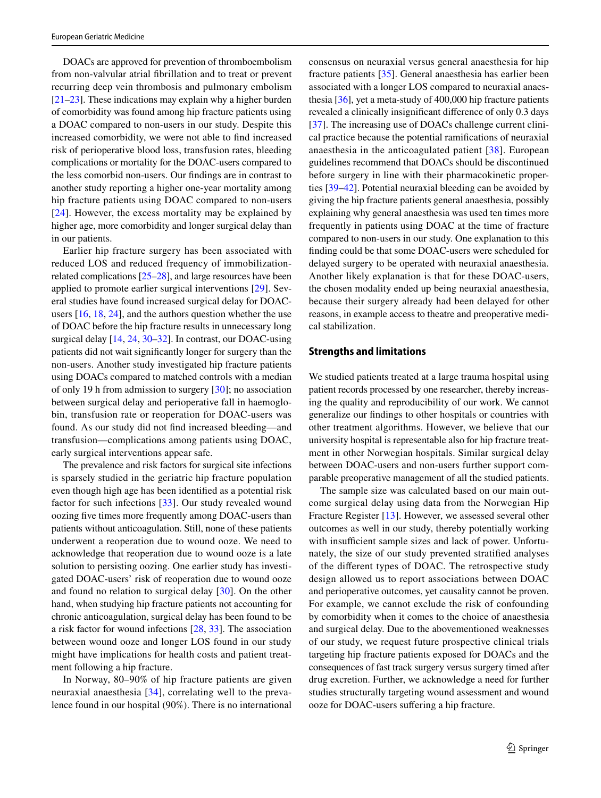DOACs are approved for prevention of thromboembolism from non-valvular atrial fbrillation and to treat or prevent recurring deep vein thrombosis and pulmonary embolism [\[21](#page-6-5)[–23](#page-6-6)]. These indications may explain why a higher burden of comorbidity was found among hip fracture patients using a DOAC compared to non-users in our study. Despite this increased comorbidity, we were not able to fnd increased risk of perioperative blood loss, transfusion rates, bleeding complications or mortality for the DOAC-users compared to the less comorbid non-users. Our fndings are in contrast to another study reporting a higher one-year mortality among hip fracture patients using DOAC compared to non-users [[24\]](#page-6-7). However, the excess mortality may be explained by higher age, more comorbidity and longer surgical delay than in our patients.

Earlier hip fracture surgery has been associated with reduced LOS and reduced frequency of immobilizationrelated complications [[25](#page-6-8)[–28](#page-6-9)], and large resources have been applied to promote earlier surgical interventions [\[29](#page-6-10)]. Several studies have found increased surgical delay for DOACusers [[16,](#page-6-0) [18,](#page-6-2) [24\]](#page-6-7), and the authors question whether the use of DOAC before the hip fracture results in unnecessary long surgical delay [[14,](#page-5-10) [24](#page-6-7), [30](#page-6-11)[–32\]](#page-6-12). In contrast, our DOAC-using patients did not wait signifcantly longer for surgery than the non-users. Another study investigated hip fracture patients using DOACs compared to matched controls with a median of only 19 h from admission to surgery [\[30](#page-6-11)]; no association between surgical delay and perioperative fall in haemoglobin, transfusion rate or reoperation for DOAC-users was found. As our study did not fnd increased bleeding—and transfusion—complications among patients using DOAC, early surgical interventions appear safe.

The prevalence and risk factors for surgical site infections is sparsely studied in the geriatric hip fracture population even though high age has been identifed as a potential risk factor for such infections [[33](#page-6-13)]. Our study revealed wound oozing fve times more frequently among DOAC-users than patients without anticoagulation. Still, none of these patients underwent a reoperation due to wound ooze. We need to acknowledge that reoperation due to wound ooze is a late solution to persisting oozing. One earlier study has investigated DOAC-users' risk of reoperation due to wound ooze and found no relation to surgical delay [[30](#page-6-11)]. On the other hand, when studying hip fracture patients not accounting for chronic anticoagulation, surgical delay has been found to be a risk factor for wound infections [[28,](#page-6-9) [33](#page-6-13)]. The association between wound ooze and longer LOS found in our study might have implications for health costs and patient treatment following a hip fracture.

In Norway, 80–90% of hip fracture patients are given neuraxial anaesthesia [[34](#page-6-14)], correlating well to the prevalence found in our hospital (90%). There is no international consensus on neuraxial versus general anaesthesia for hip fracture patients [[35](#page-6-15)]. General anaesthesia has earlier been associated with a longer LOS compared to neuraxial anaesthesia [[36\]](#page-6-16), yet a meta-study of 400,000 hip fracture patients revealed a clinically insignifcant diference of only 0.3 days [[37\]](#page-6-17). The increasing use of DOACs challenge current clinical practice because the potential ramifcations of neuraxial anaesthesia in the anticoagulated patient [[38](#page-6-18)]. European guidelines recommend that DOACs should be discontinued before surgery in line with their pharmacokinetic properties [[39–](#page-6-19)[42\]](#page-6-20). Potential neuraxial bleeding can be avoided by giving the hip fracture patients general anaesthesia, possibly explaining why general anaesthesia was used ten times more frequently in patients using DOAC at the time of fracture compared to non-users in our study. One explanation to this fnding could be that some DOAC-users were scheduled for delayed surgery to be operated with neuraxial anaesthesia. Another likely explanation is that for these DOAC-users, the chosen modality ended up being neuraxial anaesthesia, because their surgery already had been delayed for other reasons, in example access to theatre and preoperative medical stabilization.

## **Strengths and limitations**

We studied patients treated at a large trauma hospital using patient records processed by one researcher, thereby increasing the quality and reproducibility of our work. We cannot generalize our fndings to other hospitals or countries with other treatment algorithms. However, we believe that our university hospital is representable also for hip fracture treatment in other Norwegian hospitals. Similar surgical delay between DOAC-users and non-users further support comparable preoperative management of all the studied patients.

The sample size was calculated based on our main outcome surgical delay using data from the Norwegian Hip Fracture Register [[13](#page-5-9)]. However, we assessed several other outcomes as well in our study, thereby potentially working with insufficient sample sizes and lack of power. Unfortunately, the size of our study prevented stratifed analyses of the diferent types of DOAC. The retrospective study design allowed us to report associations between DOAC and perioperative outcomes, yet causality cannot be proven. For example, we cannot exclude the risk of confounding by comorbidity when it comes to the choice of anaesthesia and surgical delay. Due to the abovementioned weaknesses of our study, we request future prospective clinical trials targeting hip fracture patients exposed for DOACs and the consequences of fast track surgery versus surgery timed after drug excretion. Further, we acknowledge a need for further studies structurally targeting wound assessment and wound ooze for DOAC-users sufering a hip fracture.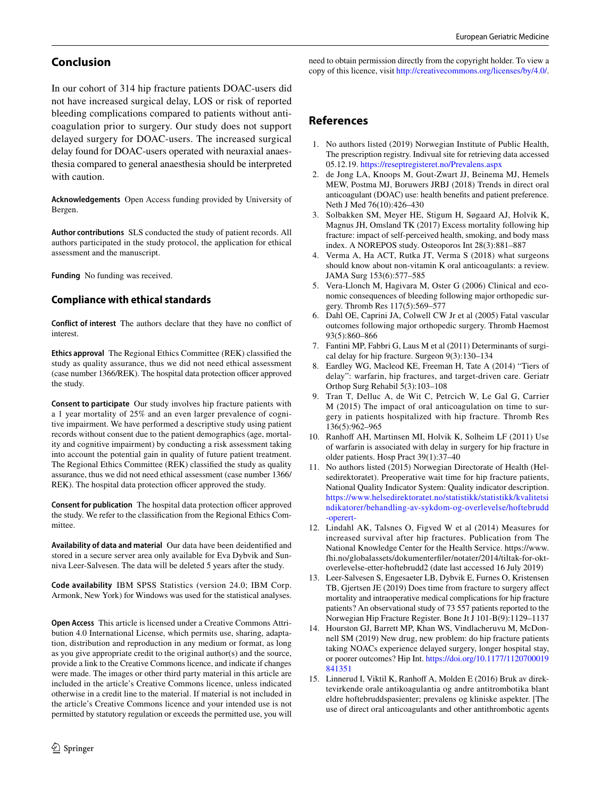# **Conclusion**

In our cohort of 314 hip fracture patients DOAC-users did not have increased surgical delay, LOS or risk of reported bleeding complications compared to patients without anticoagulation prior to surgery. Our study does not support delayed surgery for DOAC-users. The increased surgical delay found for DOAC-users operated with neuraxial anaesthesia compared to general anaesthesia should be interpreted with caution.

**Acknowledgements** Open Access funding provided by University of Bergen.

**Author contributions** SLS conducted the study of patient records. All authors participated in the study protocol, the application for ethical assessment and the manuscript.

**Funding** No funding was received.

# **Compliance with ethical standards**

**Conflict of interest** The authors declare that they have no confict of interest.

**Ethics approval** The Regional Ethics Committee (REK) classifed the study as quality assurance, thus we did not need ethical assessment (case number 1366/REK). The hospital data protection officer approved the study.

**Consent to participate** Our study involves hip fracture patients with a 1 year mortality of 25% and an even larger prevalence of cognitive impairment. We have performed a descriptive study using patient records without consent due to the patient demographics (age, mortality and cognitive impairment) by conducting a risk assessment taking into account the potential gain in quality of future patient treatment. The Regional Ethics Committee (REK) classifed the study as quality assurance, thus we did not need ethical assessment (case number 1366/ REK). The hospital data protection officer approved the study.

**Consent for publication** The hospital data protection officer approved the study. We refer to the classifcation from the Regional Ethics Committee.

**Availability of data and material** Our data have been deidentifed and stored in a secure server area only available for Eva Dybvik and Sunniva Leer-Salvesen. The data will be deleted 5 years after the study.

**Code availability** IBM SPSS Statistics (version 24.0; IBM Corp. Armonk, New York) for Windows was used for the statistical analyses.

**Open Access** This article is licensed under a Creative Commons Attribution 4.0 International License, which permits use, sharing, adaptation, distribution and reproduction in any medium or format, as long as you give appropriate credit to the original author(s) and the source, provide a link to the Creative Commons licence, and indicate if changes were made. The images or other third party material in this article are included in the article's Creative Commons licence, unless indicated otherwise in a credit line to the material. If material is not included in the article's Creative Commons licence and your intended use is not permitted by statutory regulation or exceeds the permitted use, you will need to obtain permission directly from the copyright holder. To view a copy of this licence, visit<http://creativecommons.org/licenses/by/4.0/>.

# **References**

- <span id="page-5-0"></span>1. No authors listed (2019) Norwegian Institute of Public Health, The prescription registry. Indivual site for retrieving data accessed 05.12.19. [https://reseptregisteret.no/Prevalens.aspx](http://reseptregisteret.no/Prevalens.aspx)
- <span id="page-5-1"></span>2. de Jong LA, Knoops M, Gout-Zwart JJ, Beinema MJ, Hemels MEW, Postma MJ, Boruwers JRBJ (2018) Trends in direct oral anticoagulant (DOAC) use: health benefts and patient preference. Neth J Med 76(10):426–430
- <span id="page-5-2"></span>3. Solbakken SM, Meyer HE, Stigum H, Søgaard AJ, Holvik K, Magnus JH, Omsland TK (2017) Excess mortality following hip fracture: impact of self-perceived health, smoking, and body mass index. A NOREPOS study. Osteoporos Int 28(3):881–887
- <span id="page-5-3"></span>4. Verma A, Ha ACT, Rutka JT, Verma S (2018) what surgeons should know about non-vitamin K oral anticoagulants: a review. JAMA Surg 153(6):577–585
- <span id="page-5-4"></span>5. Vera-Llonch M, Hagivara M, Oster G (2006) Clinical and economic consequences of bleeding following major orthopedic surgery. Thromb Res 117(5):569–577
- <span id="page-5-5"></span>6. Dahl OE, Caprini JA, Colwell CW Jr et al (2005) Fatal vascular outcomes following major orthopedic surgery. Thromb Haemost 93(5):860–866
- <span id="page-5-6"></span>7. Fantini MP, Fabbri G, Laus M et al (2011) Determinants of surgical delay for hip fracture. Surgeon 9(3):130–134
- 8. Eardley WG, Macleod KE, Freeman H, Tate A (2014) "Tiers of delay": warfarin, hip fractures, and target-driven care. Geriatr Orthop Surg Rehabil 5(3):103–108
- 9. Tran T, Delluc A, de Wit C, Petrcich W, Le Gal G, Carrier M (2015) The impact of oral anticoagulation on time to surgery in patients hospitalized with hip fracture. Thromb Res 136(5):962–965
- <span id="page-5-7"></span>10. Ranhoff AH, Martinsen MI, Holvik K, Solheim LF (2011) Use of warfarin is associated with delay in surgery for hip fracture in older patients. Hosp Pract 39(1):37–40
- <span id="page-5-8"></span>11. No authors listed (2015) Norwegian Directorate of Health (Helsedirektoratet). Preoperative wait time for hip fracture patients, National Quality Indicator System: Quality indicator description. [https://www.helsedirektoratet.no/statistikk/statistikk/kvalitetsi](https://www.helsedirektoratet.no/statistikk/statistikk/kvalitetsindikatorer/behandling-av-sykdom-og-overlevelse/hoftebrudd-operert-) [ndikatorer/behandling-av-sykdom-og-overlevelse/hoftebrudd](https://www.helsedirektoratet.no/statistikk/statistikk/kvalitetsindikatorer/behandling-av-sykdom-og-overlevelse/hoftebrudd-operert-) [-operert-](https://www.helsedirektoratet.no/statistikk/statistikk/kvalitetsindikatorer/behandling-av-sykdom-og-overlevelse/hoftebrudd-operert-)
- <span id="page-5-11"></span>12. Lindahl AK, Talsnes O, Figved W et al (2014) Measures for increased survival after hip fractures. Publication from The National Knowledge Center for the Health Service. https://www. fhi.no/globalassets/dokumenterfler/notater/2014/tiltak-for-oktoverlevelse-etter-hoftebrudd2 (date last accessed 16 July 2019)
- <span id="page-5-9"></span>13. Leer-Salvesen S, Engesaeter LB, Dybvik E, Furnes O, Kristensen TB, Gjertsen JE (2019) Does time from fracture to surgery afect mortality and intraoperative medical complications for hip fracture patients? An observational study of 73 557 patients reported to the Norwegian Hip Fracture Register. Bone Jt J 101-B(9):1129–1137
- <span id="page-5-10"></span>14. Hourston GJ, Barrett MP, Khan WS, Vindlacheruvu M, McDonnell SM (2019) New drug, new problem: do hip fracture patients taking NOACs experience delayed surgery, longer hospital stay, or poorer outcomes? Hip Int. [https://doi.org/10.1177/1120700019](https://doi.org/10.1177/1120700019841351) [841351](https://doi.org/10.1177/1120700019841351)
- 15. Linnerud I, Viktil K, Ranhof A, Molden E (2016) Bruk av direktevirkende orale antikoagulantia og andre antitrombotika blant eldre hoftebruddspasienter; prevalens og kliniske aspekter. [The use of direct oral anticoagulants and other antithrombotic agents